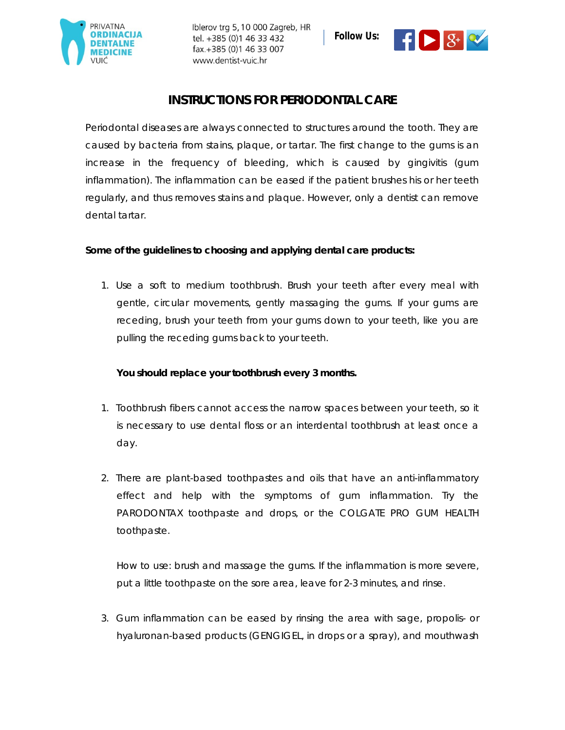

Iblerov trg 5, 10 000 Zagreb, HR tel. +385 (0)1 46 33 432 fax.+385 (0)1 46 33 007 www.dentist-vuic.hr





## **INSTRUCTIONS FOR PERIODONTAL CARE**

Periodontal diseases are always connected to structures around the tooth. They are caused by bacteria from stains, plaque, or tartar. The first change to the gums is an increase in the frequency of bleeding, which is caused by gingivitis (gum inflammation). The inflammation can be eased if the patient brushes his or her teeth regularly, and thus removes stains and plaque. However, only a dentist can remove dental tartar.

**Some of the guidelines to choosing and applying dental care products:**

1. Use a soft to medium toothbrush. Brush your teeth after every meal with gentle, circular movements, gently massaging the gums. If your gums are receding, brush your teeth from your gums down to your teeth, like you are pulling the receding gums back to your teeth.

*You should replace your toothbrush every 3 months.*

- 1. Toothbrush fibers cannot access the narrow spaces between your teeth, so it is necessary to use dental floss or an interdental toothbrush at least once a day.
- 2. There are plant-based toothpastes and oils that have an anti-inflammatory effect and help with the symptoms of gum inflammation. Try the PARODONTAX toothpaste and drops, or the COLGATE PRO GUM HEALTH toothpaste.

How to use: brush and massage the gums. If the inflammation is more severe, put a little toothpaste on the sore area, leave for 2-3 minutes, and rinse.

3. Gum inflammation can be eased by rinsing the area with sage, propolis- or hyaluronan-based products (GENGIGEL, in drops or a spray), and mouthwash